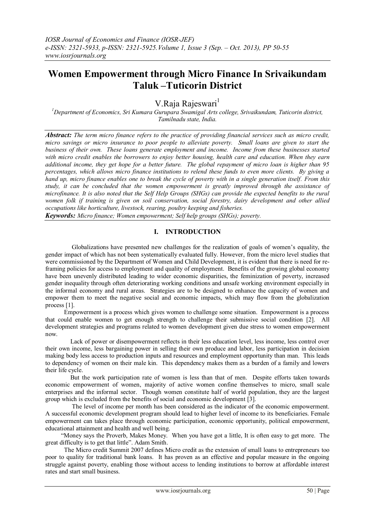# **Women Empowerment through Micro Finance In Srivaikundam Taluk –Tuticorin District**

V.Raja Rajeswari<sup>1</sup>

*<sup>1</sup>Department of Economics, Sri Kumara Gurupara Swamigal Arts college, Srivaikundam, Tuticorin district, Tamilnadu state, India.*

*Abstract: The term micro finance refers to the practice of providing financial services such as micro credit, micro savings or micro insurance to poor people to alleviate poverty. Small loans are given to start the business of their own. These loans generate employment and income. Income from these businesses started with micro credit enables the borrowers to enjoy better housing, health care and education. When they earn additional income, they get hope for a better future. The global repayment of micro loan is higher than 95 percentages, which allows micro finance institutions to relend these funds to even more clients. By giving a hand up, micro finance enables one to break the cycle of poverty with in a single generation itself. From this study, it can be concluded that the women empowerment is greatly improved through the assistance of microfinance. It is also noted that the Self Help Groups (SHGs) can provide the expected benefits to the rural women folk if training is given on soil conservation, social forestry, dairy development and other allied occupations like horticulture, livestock, rearing, poultry keeping and fisheries.*

*Keywords: Micro finance; Women empowerment; Self help groups (SHGs); poverty.*

# **I. INTRODUCTION**

Globalizations have presented new challenges for the realization of goals of women's equality, the gender impact of which has not been systematically evaluated fully. However, from the micro level studies that were commissioned by the Department of Women and Child Development, it is evident that there is need for reframing policies for access to employment and quality of employment. Benefits of the growing global economy have been unevenly distributed leading to wider economic disparities, the feminization of poverty, increased gender inequality through often deteriorating working conditions and unsafe working environment especially in the informal economy and rural areas. Strategies are to be designed to enhance the capacity of women and empower them to meet the negative social and economic impacts, which may flow from the globalization process [1].

 Empowerment is a process which gives women to challenge some situation. Empowerment is a process that could enable women to get enough strength to challenge their submissive social condition [2]. All development strategies and programs related to women development given due stress to women empowerment now.

 Lack of power or disempowerment reflects in their less education level, less income, less control over their own income, less bargaining power in selling their own produce and labor, less participation in decision making body less access to production inputs and resources and employment opportunity than man. This leads to dependency of women on their male kin. This dependency makes them as a burden of a family and lowers their life cycle.

 But the work participation rate of women is less than that of men. Despite efforts taken towards economic empowerment of women, majority of active women confine themselves to micro, small scale enterprises and the informal sector. Though women constitute half of world population, they are the largest group which is excluded from the benefits of social and economic development [3].

 The level of income per month has been considered as the indicator of the economic empowerment. A successful economic development program should lead to higher level of income to its beneficiaries. Female empowerment can takes place through economic participation, economic opportunity, political empowerment, educational attainment and health and well being.

 "Money says the Proverb, Makes Money. When you have got a little, It is often easy to get more. The great difficulty is to get that little". Adam Smith.

 The Micro credit Summit 2007 defines Micro credit as the extension of small loans to entrepreneurs too poor to quality for traditional bank loans. It has proven as an effective and popular measure in the ongoing struggle against poverty, enabling those without access to lending institutions to borrow at affordable interest rates and start small business.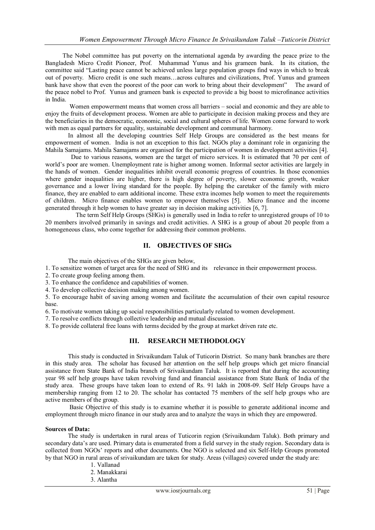The Nobel committee has put poverty on the international agenda by awarding the peace prize to the Bangladesh Micro Credit Pioneer, Prof. Muhammad Yunus and his grameen bank. In its citation, the committee said "Lasting peace cannot be achieved unless large population groups find ways in which to break out of poverty. Micro credit is one such means…across cultures and civilizations, Prof. Yunus and grameen bank have show that even the poorest of the poor can work to bring about their development" The award of the peace nobel to Prof. Yunus and grameen bank is expected to provide a big boost to microfinance activities in India.

Women empowerment means that women cross all barriers – social and economic and they are able to enjoy the fruits of development process. Women are able to participate in decision making process and they are the beneficiaries in the democratic, economic, social and cultural spheres of life. Women come forward to work with men as equal partners for equality, sustainable development and communal harmony.

In almost all the developing countries Self Help Groups are considered as the best means for empowerment of women. India is not an exception to this fact. NGOs play a dominant role in organizing the Mahila Samajams. Mahila Samajams are organised for the participation of women in development activities [4].

 Due to various reasons, women are the target of micro services. It is estimated that 70 per cent of world's poor are women. Unemployment rate is higher among women. Informal sector activities are largely in the hands of women. Gender inequalities inhibit overall economic progress of countries. In those economies where gender inequalities are higher, there is high degree of poverty, slower economic growth, weaker governance and a lower living standard for the people. By helping the caretaker of the family with micro finance, they are enabled to earn additional income. These extra incomes help women to meet the requirements of children. Micro finance enables women to empower themselves [5]. Micro finance and the income generated through it help women to have greater say in decision making activities [6, 7].

 The term Self Help Groups (SHGs) is generally used in India to refer to unregistered groups of 10 to 20 members involved primarily in savings and credit activities. A SHG is a group of about 20 people from a homogeneous class, who come together for addressing their common problems.

# **II. OBJECTIVES OF SHGs**

The main objectives of the SHGs are given below,

1. To sensitize women of target area for the need of SHG and its relevance in their empowerment process.

2. To create group feeling among them.

3. To enhance the confidence and capabilities of women.

4. To develop collective decision making among women.

5. To encourage habit of saving among women and facilitate the accumulation of their own capital resource base.

6. To motivate women taking up social responsibilities particularly related to women development.

7. To resolve conflicts through collective leadership and mutual discussion.

8. To provide collateral free loans with terms decided by the group at market driven rate etc.

## **III. RESEARCH METHODOLOGY**

This study is conducted in Srivaikundam Taluk of Tuticorin District. So many bank branches are there in this study area. The scholar has focused her attention on the self help groups which get micro financial assistance from State Bank of India branch of Srivaikundam Taluk. It is reported that during the accounting year 98 self help groups have taken revolving fund and financial assistance from State Bank of India of the study area. These groups have taken loan to extend of Rs. 91 lakh in 2008-09. Self Help Groups have a membership ranging from 12 to 20. The scholar has contacted 75 members of the self help groups who are active members of the group.

Basic Objective of this study is to examine whether it is possible to generate additional income and employment through micro finance in our study area and to analyze the ways in which they are empowered.

#### **Sources of Data:**

The study is undertaken in rural areas of Tuticorin region (Srivaikundam Taluk). Both primary and secondary data's are used. Primary data is enumerated from a field survey in the study region. Secondary data is collected from NGOs' reports and other documents. One NGO is selected and six Self-Help Groups promoted by that NGO in rural areas of srivaikundam are taken for study. Areas (villages) covered under the study are:

- 1. Vallanad
- 2. Manakkarai
- 3. Alantha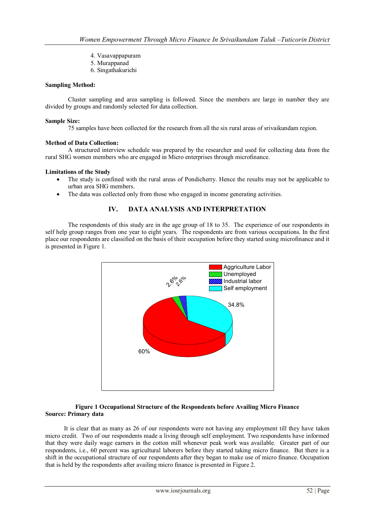- 4. Vasavappapuram
- 5. Murappanad
- 6. Singathakurichi

## **Sampling Method:**

Cluster sampling and area sampling is followed. Since the members are large in number they are divided by groups and randomly selected for data collection.

#### **Sample Size:**

75 samples have been collected for the research from all the six rural areas of srivaikundam region.

## **Method of Data Collection:**

A structured interview schedule was prepared by the researcher and used for collecting data from the rural SHG women members who are engaged in Micro enterprises through microfinance.

## **Limitations of the Study**

- The study is confined with the rural areas of Pondicherry. Hence the results may not be applicable to urban area SHG members.
- The data was collected only from those who engaged in income generating activities.

# **IV. DATA ANALYSIS AND INTERPRETATION**

The respondents of this study are in the age group of 18 to 35. The experience of our respondents in self help group ranges from one year to eight years. The respondents are from various occupations. In the first place our respondents are classified on the basis of their occupation before they started using microfinance and it is presented in Figure 1.



#### **Figure 1 Occupational Structure of the Respondents before Availing Micro Finance Source: Primary data**

 It is clear that as many as 26 of our respondents were not having any employment till they have taken micro credit. Two of our respondents made a living through self employment. Two respondents have informed that they were daily wage earners in the cotton mill whenever peak work was available. Greater part of our respondents, i.e., 60 percent was agricultural laborers before they started taking micro finance. But there is a shift in the occupational structure of our respondents after they began to make use of micro finance. Occupation that is held by the respondents after availing micro finance is presented in Figure 2.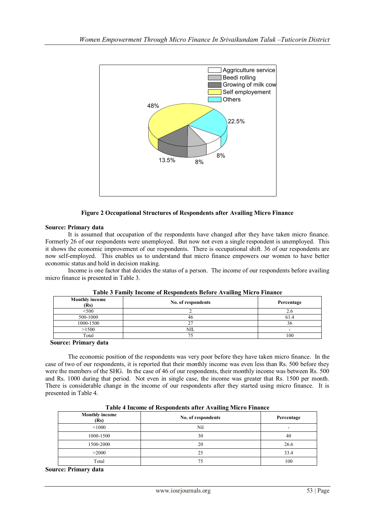

**Figure 2 Occupational Structures of Respondents after Availing Micro Finance**

## **Source: Primary data**

It is assumed that occupation of the respondents have changed after they have taken micro finance. Formerly 26 of our respondents were unemployed. But now not even a single respondent is unemployed. This it shows the economic improvement of our respondents. There is occupational shift. 36 of our respondents are now self-employed. This enables us to understand that micro finance empowers our women to have better economic status and hold in decision making.

Income is one factor that decides the status of a person. The income of our respondents before availing micro finance is presented in Table 3.

| --------------                |                    |            |  |
|-------------------------------|--------------------|------------|--|
| <b>Monthly income</b><br>(Rs) | No. of respondents | Percentage |  |
| < 500                         |                    | 2.U        |  |
| 500-1000                      | 46                 | 61.4       |  |
| 1000-1500                     |                    | 50         |  |
| >1500                         | NIL                |            |  |
| Total                         |                    | 100        |  |

**Table 3 Family Income of Respondents Before Availing Micro Finance**

**Source: Primary data**

The economic position of the respondents was very poor before they have taken micro finance. In the case of two of our respondents, it is reported that their monthly income was even less than Rs. 500 before they were the members of the SHG. In the case of 46 of our respondents, their monthly income was between Rs. 500 and Rs. 1000 during that period. Not even in single case, the income was greater that Rs. 1500 per month. There is considerable change in the income of our respondents after they started using micro finance. It is presented in Table 4.

| Table + income of iccspondents and <i>Teraning micro</i> I mance |                    |            |  |  |
|------------------------------------------------------------------|--------------------|------------|--|--|
| <b>Monthly income</b><br>(Rs)                                    | No. of respondents | Percentage |  |  |
| < 1000                                                           | Nil                | ۰          |  |  |
| 1000-1500                                                        | 30                 | 40         |  |  |
| 1500-2000                                                        | 20                 | 26.6       |  |  |
| >2000                                                            | 25                 | 33.4       |  |  |
| Total                                                            | 75                 | 100        |  |  |

**Table 4 Income of Respondents after Availing Micro Finance**

**Source: Primary data**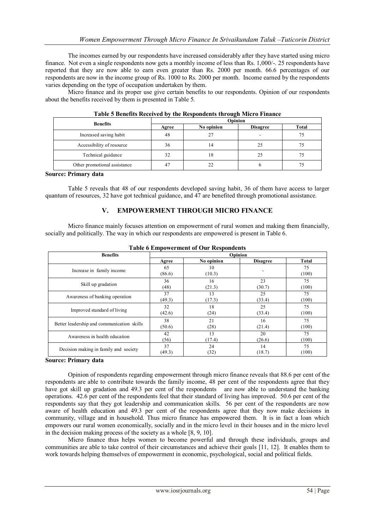The incomes earned by our respondents have increased considerably after they have started using micro finance. Not even a single respondents now gets a monthly income of less than Rs. 1,000/-. 25 respondents have reported that they are now able to earn even greater than Rs. 2000 per month. 66.6 percentages of our respondents are now in the income group of Rs. 1000 to Rs. 2000 per month. Income earned by the respondents varies depending on the type of occupation undertaken by them.

Micro finance and its proper use give certain benefits to our respondents. Opinion of our respondents about the benefits received by them is presented in Table 5.

| <b>Benefits</b>              | Opinion |            |                 |              |
|------------------------------|---------|------------|-----------------|--------------|
|                              | Agree   | No opinion | <b>Disagree</b> | <b>Total</b> |
| Increased saving habit       | 48      | 27         | -               |              |
| Accessibility of resource    | 36      | 14         | 25              |              |
| Technical guidance           | 32      | 18         |                 |              |
| Other promotional assistance | 47      | 22         |                 |              |

| Table 5 Benefits Received by the Respondents through Micro Finance |  |  |  |
|--------------------------------------------------------------------|--|--|--|
|--------------------------------------------------------------------|--|--|--|

#### **Source: Primary data**

Table 5 reveals that 48 of our respondents developed saving habit, 36 of them have access to larger quantum of resources, 32 have got technical guidance, and 47 are benefited through promotional assistance.

# **V. EMPOWERMENT THROUGH MICRO FINANCE**

Micro finance mainly focuses attention on empowerment of rural women and making them financially, socially and politically. The way in which our respondents are empowered is present in Table 6.

| <b>Benefits</b>                            | Opinion      |              |                 |              |
|--------------------------------------------|--------------|--------------|-----------------|--------------|
|                                            | Agree        | No opinion   | <b>Disagree</b> | <b>Total</b> |
| Increase in family income                  | 65<br>(86.6) | 10<br>(10.3) |                 | 75<br>(100)  |
| Skill up gradation                         | 36           | 16           | 23              | 75           |
|                                            | (48)         | (21.3)       | (30.7)          | (100)        |
| Awareness of banking operation             | 37           | 13           | 25              | 75           |
|                                            | (49.3)       | (17.3)       | (33.4)          | (100)        |
| Improved standard of living                | 32           | 18           | 25              | 75           |
|                                            | (42.6)       | (24)         | (33.4)          | (100)        |
| Better leadership and communication skills | 38           | 21           | 16              | 75           |
|                                            | (50.6)       | (28)         | (21.4)          | (100)        |
| Awareness in health education              | 42           | 13           | 20              | 75           |
|                                            | (56)         | (17.4)       | (26.6)          | (100)        |
| Decision making in family and society      | 37           | 24           | 14              | 75           |
|                                            | (49.3)       | (32)         | (18.7)          | (100)        |

## **Table 6 Empowerment of Our Respondents**

#### **Source: Primary data**

Opinion of respondents regarding empowerment through micro finance reveals that 88.6 per cent of the respondents are able to contribute towards the family income, 48 per cent of the respondents agree that they have got skill up gradation and 49.3 per cent of the respondents are now able to understand the banking operations. 42.6 per cent of the respondents feel that their standard of living has improved. 50.6 per cent of the respondents say that they got leadership and communication skills. 56 per cent of the respondents are now aware of health education and 49.3 per cent of the respondents agree that they now make decisions in community, village and in household. Thus micro finance has empowered them. It is in fact a loan which empowers our rural women economically, socially and in the micro level in their houses and in the micro level in the decision making process of the society as a whole [8, 9, 10].

Micro finance thus helps women to become powerful and through these individuals, groups and communities are able to take control of their circumstances and achieve their goals [11, 12]. It enables them to work towards helping themselves of empowerment in economic, psychological, social and political fields.